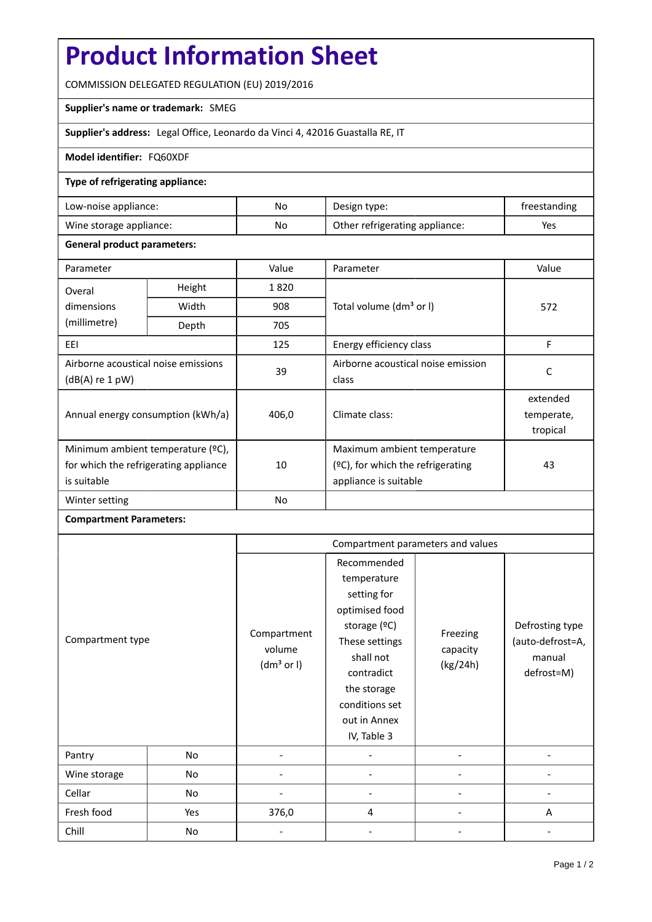# **Product Information Sheet**

COMMISSION DELEGATED REGULATION (EU) 2019/2016

### **Supplier's name or trademark:** SMEG

**Supplier's address:** Legal Office, Leonardo da Vinci 4, 42016 Guastalla RE, IT

### **Model identifier:** FQ60XDF

#### **Type of refrigerating appliance:**

| Low-noise appliance:    | No | Design type:                   | treestanding |
|-------------------------|----|--------------------------------|--------------|
| Wine storage appliance: | No | Other refrigerating appliance: | Yes          |

#### **General product parameters:**

| Parameter                                              |        | Value          | Parameter                            | Value      |  |
|--------------------------------------------------------|--------|----------------|--------------------------------------|------------|--|
| Overal                                                 | Height | 1820           |                                      | 572        |  |
| dimensions                                             | Width  | 908            | Total volume (dm <sup>3</sup> or I)  |            |  |
| (millimetre)                                           | Depth  | 705            |                                      |            |  |
| EEI                                                    |        | 125            | Energy efficiency class              | F          |  |
| Airborne acoustical noise emissions<br>(dB(A) re 1 pW) |        | 39             | Airborne acoustical noise emission   | C          |  |
|                                                        |        |                | class                                |            |  |
| Annual energy consumption (kWh/a)                      |        | 406,0          | Climate class:                       | extended   |  |
|                                                        |        |                |                                      | temperate, |  |
|                                                        |        |                |                                      | tropical   |  |
| Minimum ambient temperature (°C),                      |        |                | Maximum ambient temperature          |            |  |
| for which the refrigerating appliance<br>is suitable   |        | 10             | $(°C)$ , for which the refrigerating | 43         |  |
|                                                        |        |                | appliance is suitable                |            |  |
| Winter setting                                         |        | N <sub>o</sub> |                                      |            |  |

## **Compartment Parameters:**

|                  |     | Compartment parameters and values               |                                                                                                                                                                                          |                                  |                                                             |
|------------------|-----|-------------------------------------------------|------------------------------------------------------------------------------------------------------------------------------------------------------------------------------------------|----------------------------------|-------------------------------------------------------------|
| Compartment type |     | Compartment<br>volume<br>(dm <sup>3</sup> or I) | Recommended<br>temperature<br>setting for<br>optimised food<br>storage (ºC)<br>These settings<br>shall not<br>contradict<br>the storage<br>conditions set<br>out in Annex<br>IV, Table 3 | Freezing<br>capacity<br>(kg/24h) | Defrosting type<br>(auto-defrost=A,<br>manual<br>defrost=M) |
| Pantry           | No  |                                                 |                                                                                                                                                                                          |                                  |                                                             |
| Wine storage     | No  |                                                 |                                                                                                                                                                                          |                                  |                                                             |
| Cellar           | No  |                                                 |                                                                                                                                                                                          |                                  |                                                             |
| Fresh food       | Yes | 376,0                                           | 4                                                                                                                                                                                        |                                  | A                                                           |
| Chill            | No  |                                                 |                                                                                                                                                                                          |                                  |                                                             |